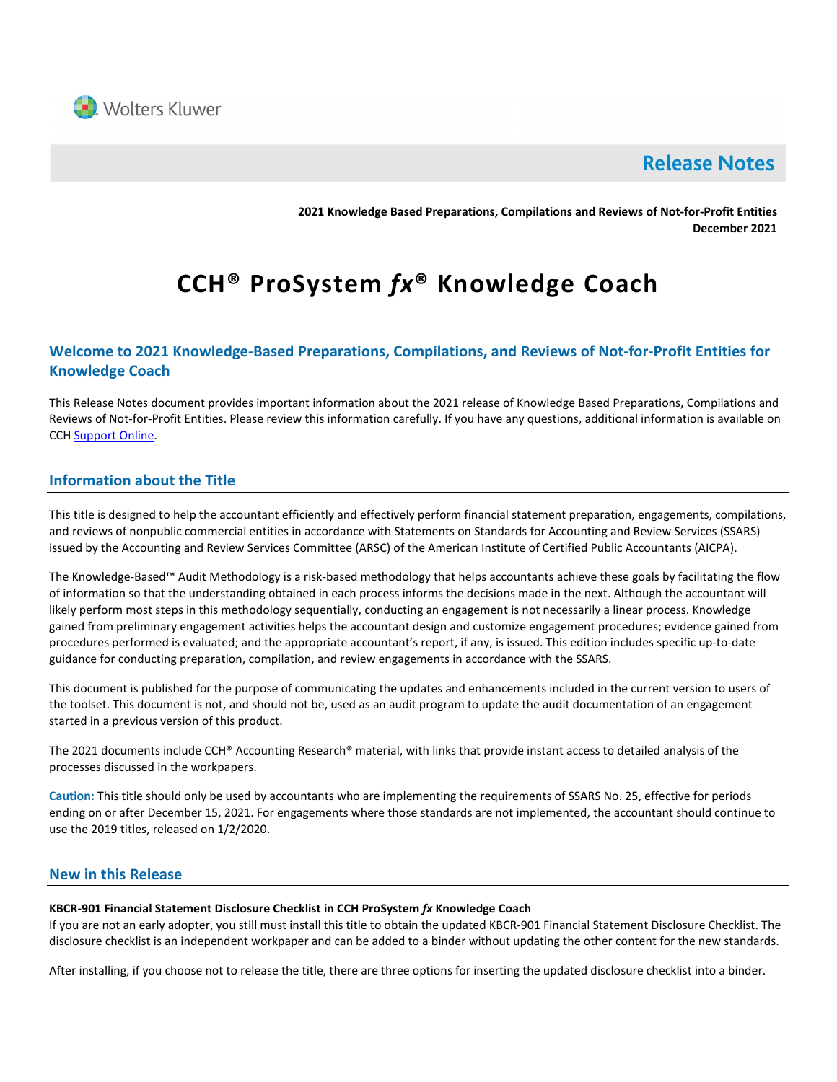

# **Release Notes**

**2021 Knowledge Based Preparations, Compilations and Reviews of Not-for-Profit Entities December 2021**

# **CCH® ProSystem** *fx***® Knowledge Coach**

# **Welcome to 2021 Knowledge-Based Preparations, Compilations, and Reviews of Not-for-Profit Entities for Knowledge Coach**

This Release Notes document provides important information about the 2021 release of Knowledge Based Preparations, Compilations and Reviews of Not-for-Profit Entities. Please review this information carefully. If you have any questions, additional information is available on CCH [Support Online.](http://support.cch.com/productsupport/)

# **Information about the Title**

This title is designed to help the accountant efficiently and effectively perform financial statement preparation, engagements, compilations, and reviews of nonpublic commercial entities in accordance with Statements on Standards for Accounting and Review Services (SSARS) issued by the Accounting and Review Services Committee (ARSC) of the American Institute of Certified Public Accountants (AICPA).

The Knowledge-Based™ Audit Methodology is a risk-based methodology that helps accountants achieve these goals by facilitating the flow of information so that the understanding obtained in each process informs the decisions made in the next. Although the accountant will likely perform most steps in this methodology sequentially, conducting an engagement is not necessarily a linear process. Knowledge gained from preliminary engagement activities helps the accountant design and customize engagement procedures; evidence gained from procedures performed is evaluated; and the appropriate accountant's report, if any, is issued. This edition includes specific up-to-date guidance for conducting preparation, compilation, and review engagements in accordance with the SSARS.

This document is published for the purpose of communicating the updates and enhancements included in the current version to users of the toolset. This document is not, and should not be, used as an audit program to update the audit documentation of an engagement started in a previous version of this product.

The 2021 documents include CCH® Accounting Research® material, with links that provide instant access to detailed analysis of the processes discussed in the workpapers.

**Caution:** This title should only be used by accountants who are implementing the requirements of SSARS No. 25, effective for periods ending on or after December 15, 2021. For engagements where those standards are not implemented, the accountant should continue to use the 2019 titles, released on 1/2/2020.

# **New in this Release**

#### **KBCR-901 Financial Statement Disclosure Checklist in CCH ProSystem** *fx* **Knowledge Coach**

If you are not an early adopter, you still must install this title to obtain the updated KBCR-901 Financial Statement Disclosure Checklist. The disclosure checklist is an independent workpaper and can be added to a binder without updating the other content for the new standards.

After installing, if you choose not to release the title, there are three options for inserting the updated disclosure checklist into a binder.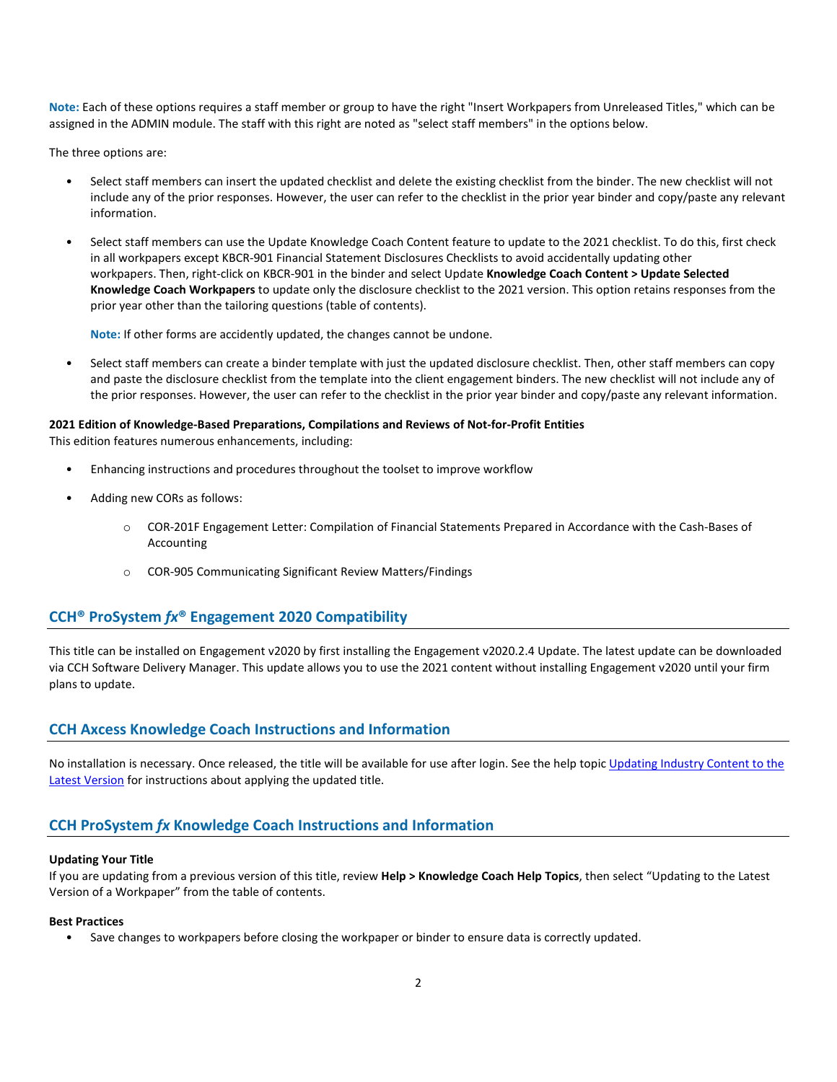**Note:** Each of these options requires a staff member or group to have the right "Insert Workpapers from Unreleased Titles," which can be assigned in the ADMIN module. The staff with this right are noted as "select staff members" in the options below.

The three options are:

- Select staff members can insert the updated checklist and delete the existing checklist from the binder. The new checklist will not include any of the prior responses. However, the user can refer to the checklist in the prior year binder and copy/paste any relevant information.
- Select staff members can use the Update Knowledge Coach Content feature to update to the 2021 checklist. To do this, first check in all workpapers except KBCR-901 Financial Statement Disclosures Checklists to avoid accidentally updating other workpapers. Then, right-click on KBCR-901 in the binder and select Update **Knowledge Coach Content > Update Selected Knowledge Coach Workpapers** to update only the disclosure checklist to the 2021 version. This option retains responses from the prior year other than the tailoring questions (table of contents).

**Note:** If other forms are accidently updated, the changes cannot be undone.

• Select staff members can create a binder template with just the updated disclosure checklist. Then, other staff members can copy and paste the disclosure checklist from the template into the client engagement binders. The new checklist will not include any of the prior responses. However, the user can refer to the checklist in the prior year binder and copy/paste any relevant information.

#### **2021 Edition of Knowledge-Based Preparations, Compilations and Reviews of Not-for-Profit Entities**

This edition features numerous enhancements, including:

- Enhancing instructions and procedures throughout the toolset to improve workflow
- Adding new CORs as follows:
	- o COR-201F Engagement Letter: Compilation of Financial Statements Prepared in Accordance with the Cash-Bases of Accounting
	- o COR-905 Communicating Significant Review Matters/Findings

# **CCH® ProSystem** *fx***® Engagement 2020 Compatibility**

This title can be installed on Engagement v2020 by first installing the Engagement v2020.2.4 Update. The latest update can be downloaded via CCH Software Delivery Manager. This update allows you to use the 2021 content without installing Engagement v2020 until your firm plans to update.

## **CCH Axcess Knowledge Coach Instructions and Information**

No installation is necessary. Once released, the title will be available for use after login. See the help topic Updating Industry Content to the [Latest Version](https://knowledgecoach.cchaxcess.com/Knowledge-Coach/Content/Engagements/Eng-Update-content.htm) for instructions about applying the updated title.

# **CCH ProSystem** *fx* **Knowledge Coach Instructions and Information**

#### **Updating Your Title**

If you are updating from a previous version of this title, review **Help > Knowledge Coach Help Topics**, then select "Updating to the Latest Version of a Workpaper" from the table of contents.

#### **Best Practices**

• Save changes to workpapers before closing the workpaper or binder to ensure data is correctly updated.